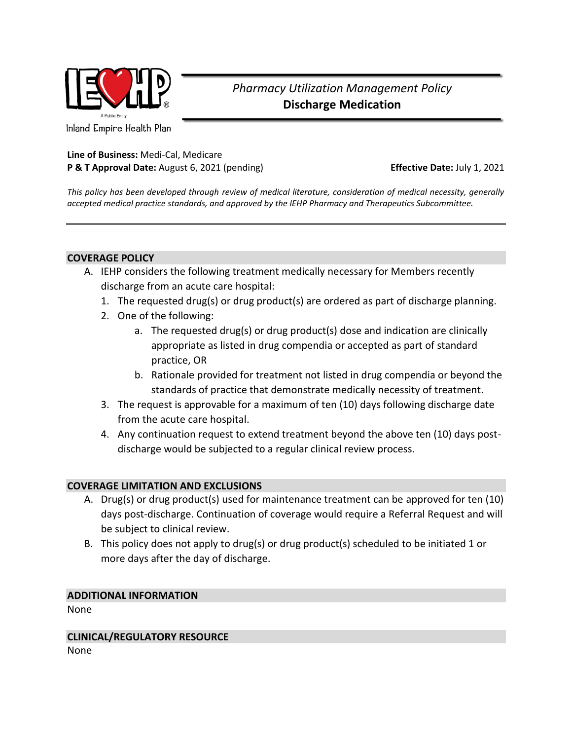

# *Pharmacy Utilization Management Policy* **Discharge Medication**

Inland Empire Health Plan

# **Line of Business:** Medi-Cal, Medicare **P & T Approval Date:** August 6, 2021 (pending) **Effective Date:** July 1, 2021

*This policy has been developed through review of medical literature, consideration of medical necessity, generally accepted medical practice standards, and approved by the IEHP Pharmacy and Therapeutics Subcommittee.*

## **COVERAGE POLICY**

- A. IEHP considers the following treatment medically necessary for Members recently discharge from an acute care hospital:
	- 1. The requested drug(s) or drug product(s) are ordered as part of discharge planning.
	- 2. One of the following:
		- a. The requested drug(s) or drug product(s) dose and indication are clinically appropriate as listed in drug compendia or accepted as part of standard practice, OR
		- b. Rationale provided for treatment not listed in drug compendia or beyond the standards of practice that demonstrate medically necessity of treatment.
	- 3. The request is approvable for a maximum of ten (10) days following discharge date from the acute care hospital.
	- 4. Any continuation request to extend treatment beyond the above ten (10) days postdischarge would be subjected to a regular clinical review process.

## **COVERAGE LIMITATION AND EXCLUSIONS**

- A. Drug(s) or drug product(s) used for maintenance treatment can be approved for ten (10) days post-discharge. Continuation of coverage would require a Referral Request and will be subject to clinical review.
- B. This policy does not apply to drug(s) or drug product(s) scheduled to be initiated 1 or more days after the day of discharge.

## **ADDITIONAL INFORMATION**

None

**CLINICAL/REGULATORY RESOURCE** None